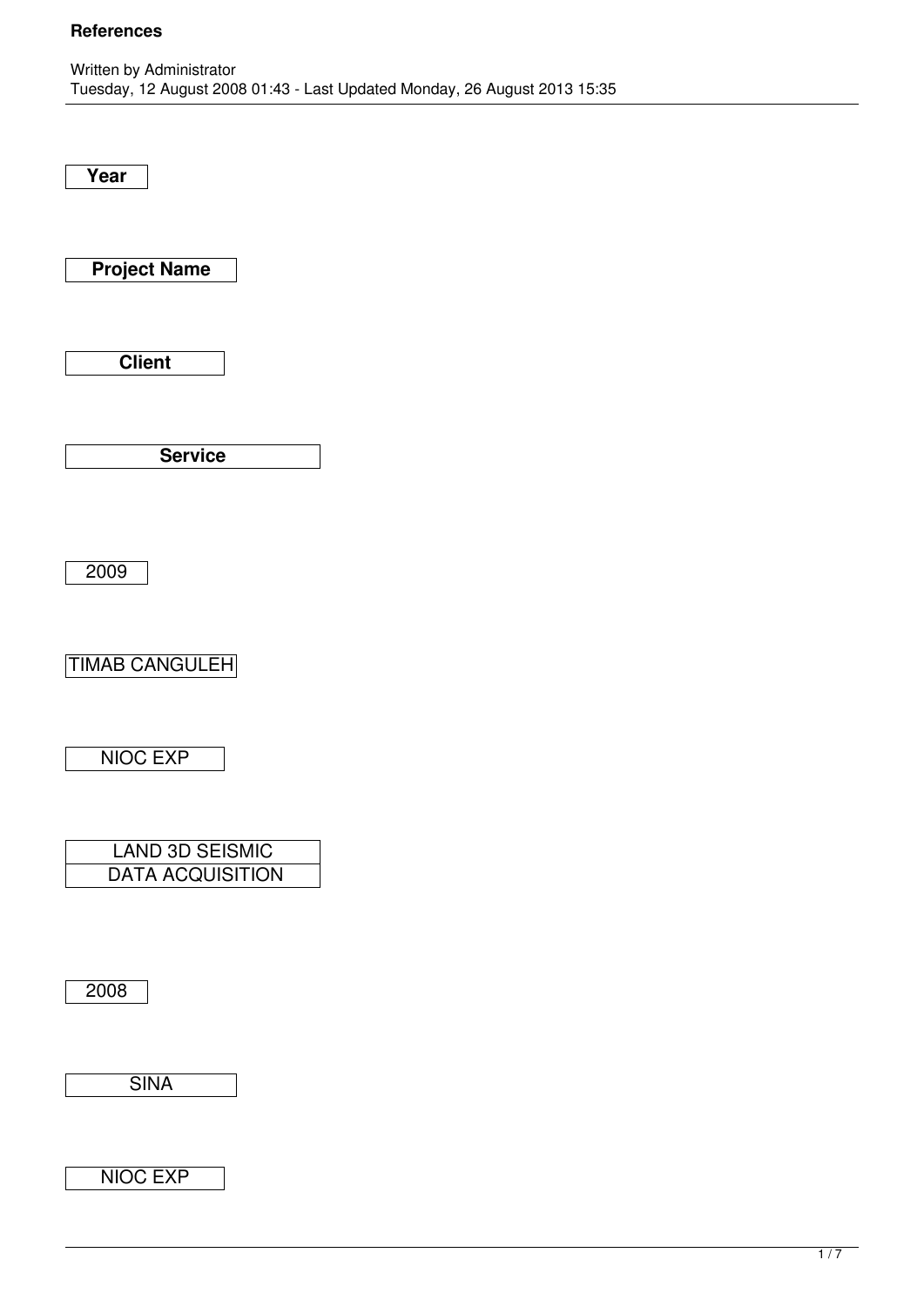**Year**

**Project Name**

**Client**

**Service**

2009

TIMAB CANGULEH

NIOC EXP

| <b>LAND 3D SEISMIC</b>  |
|-------------------------|
| <b>DATA ACQUISITION</b> |

2008

**SINA** 

NIOC EXP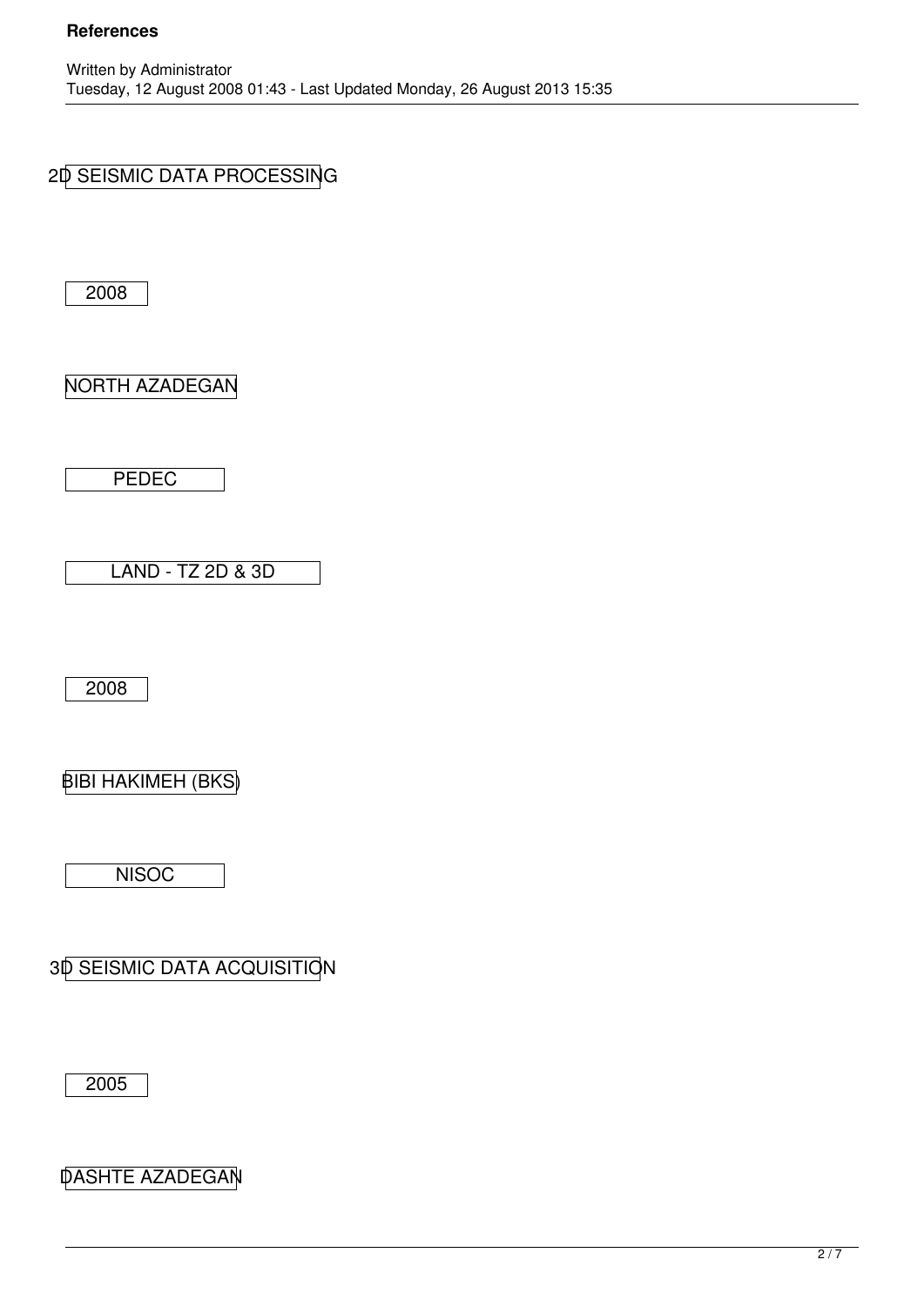## 2D SEISMIC DATA PROCESSING

2008

NORTH AZADEGAN

PEDEC

LAND - TZ 2D & 3D

2008

BIBI HAKIMEH (BKS)

**NISOC** 

3D SEISMIC DATA ACQUISITION

2005

DASHTE AZADEGAN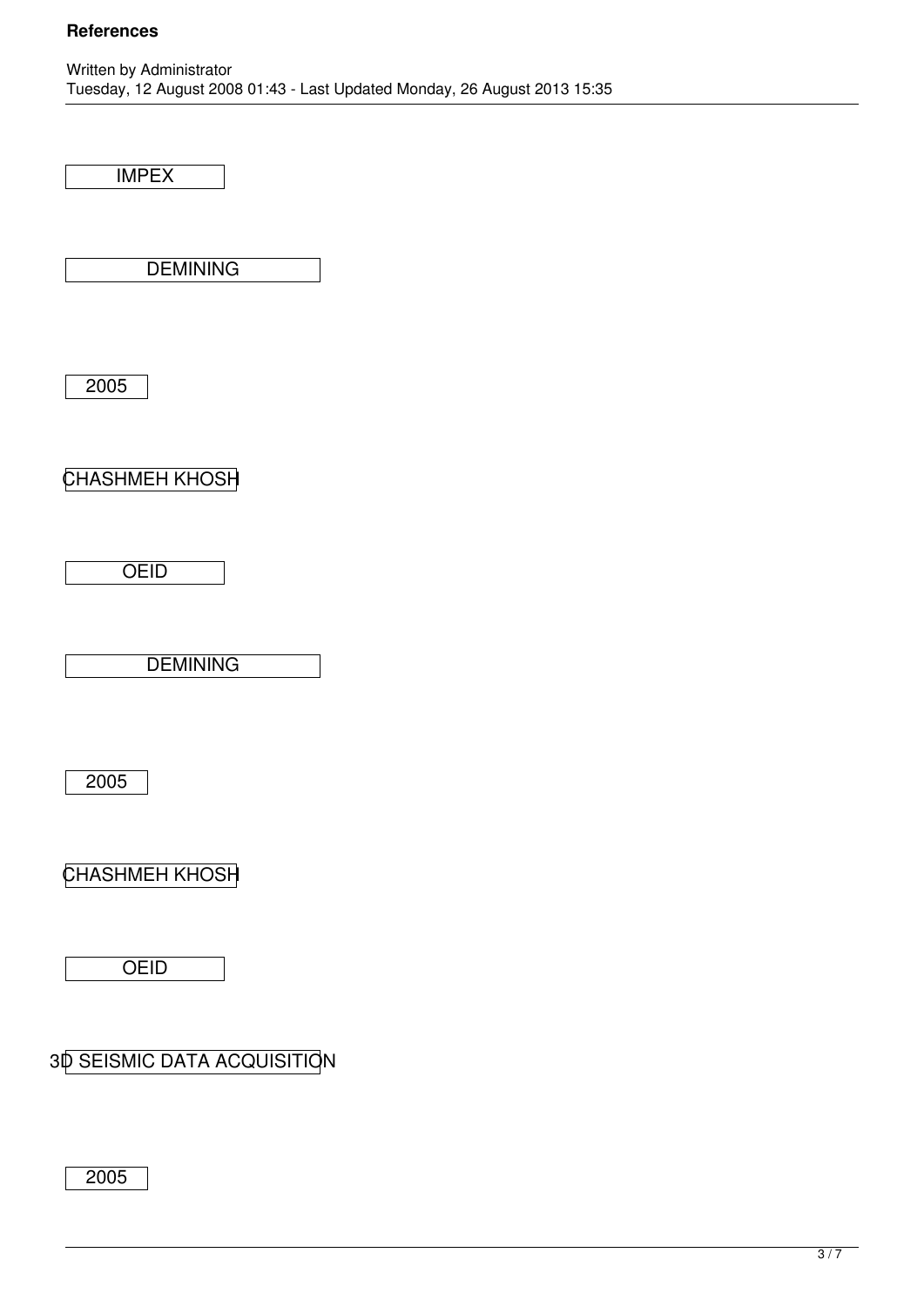IMPEX

**DEMINING** 

2005

CHASHMEH KHOSH

**OEID** 

**DEMINING** 

2005

CHASHMEH KHOSH

**OEID** 

3D SEISMIC DATA ACQUISITION

2005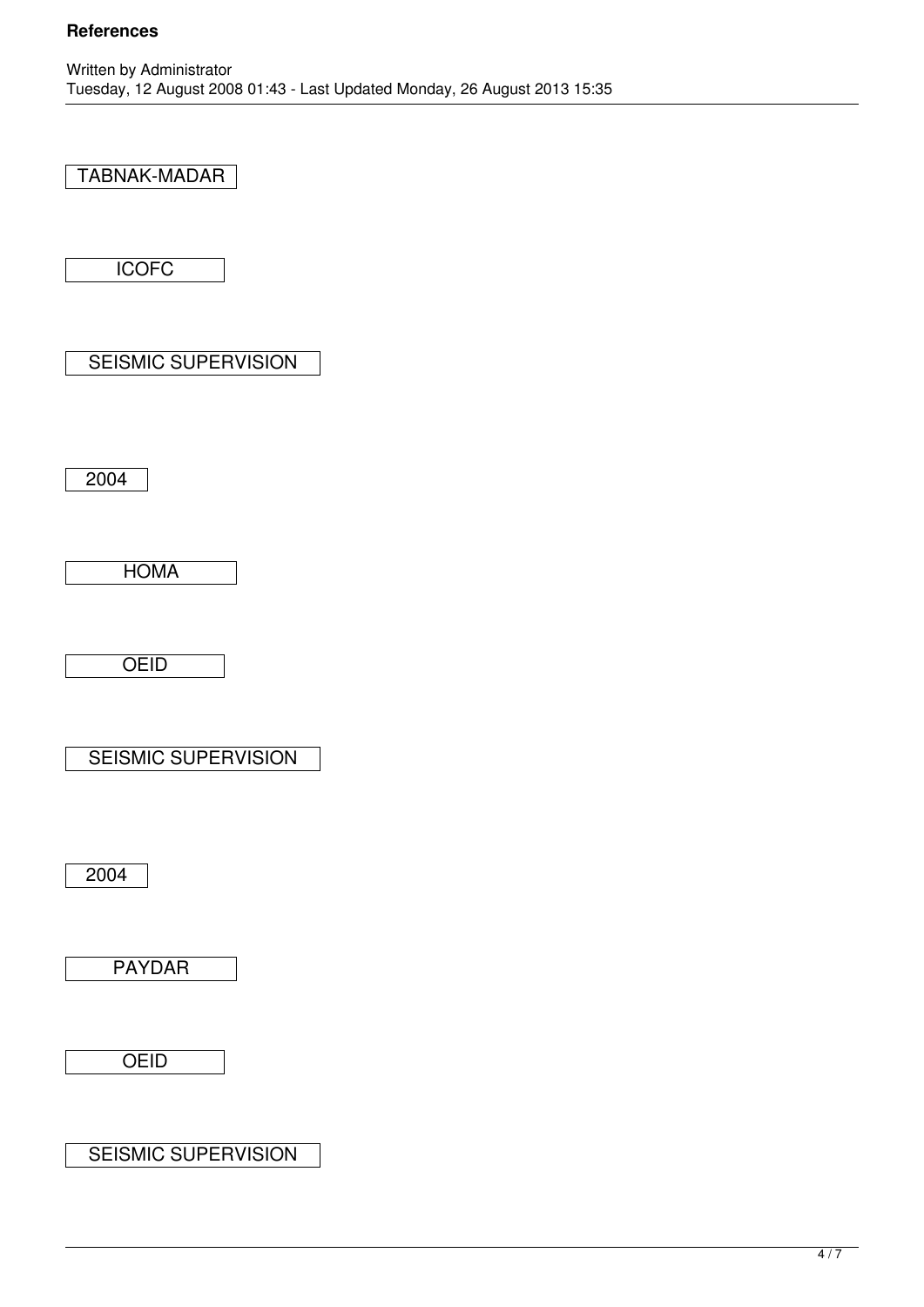### TABNAK-MADAR

**ICOFC** 

SEISMIC SUPERVISION

2004

HOMA

**OEID** 

SEISMIC SUPERVISION

2004

PAYDAR

**OEID** 

SEISMIC SUPERVISION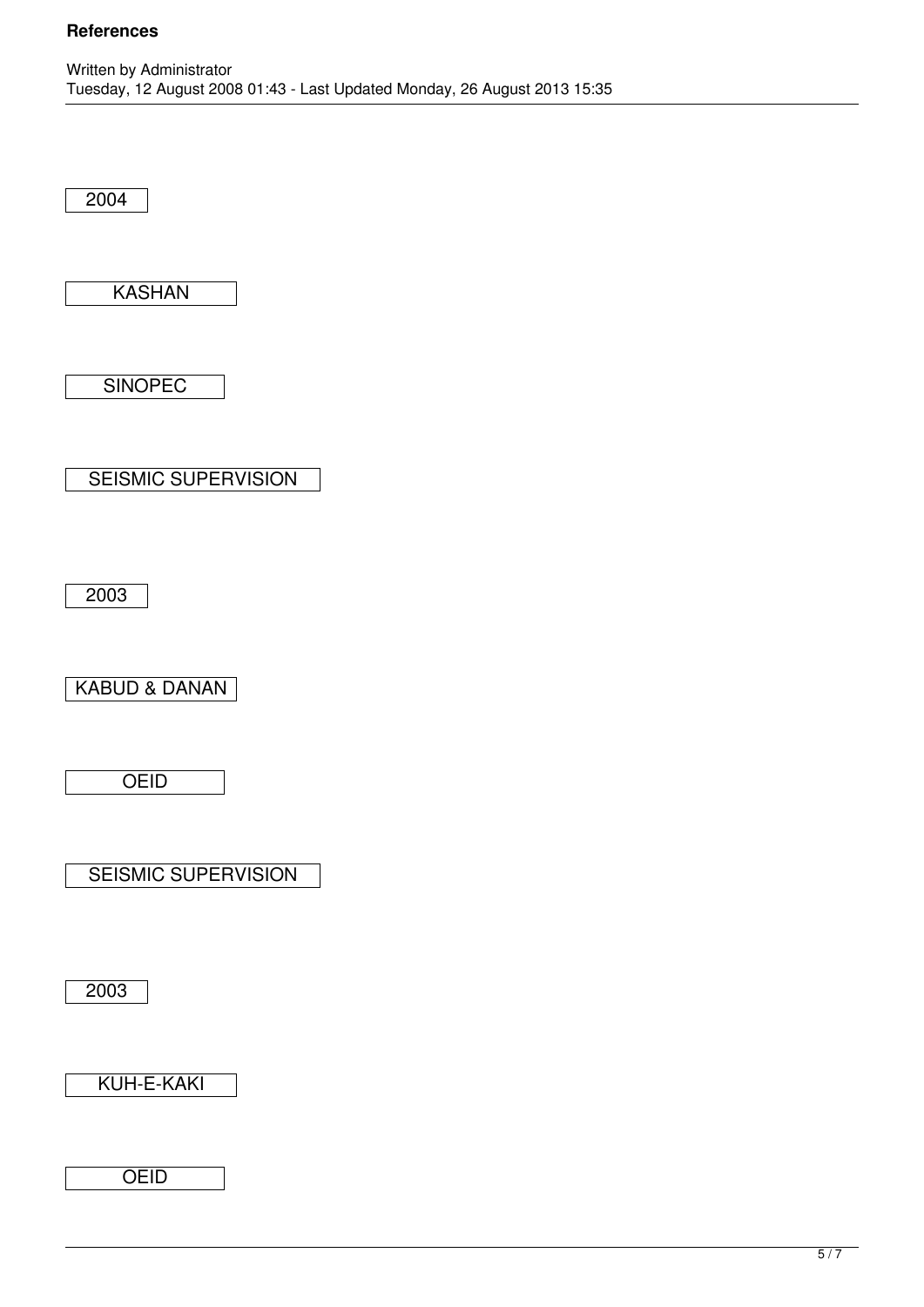2004

KASHAN

**SINOPEC** 

SEISMIC SUPERVISION

2003

KABUD & DANAN

**OEID** 

SEISMIC SUPERVISION

2003

KUH-E-KAKI

**OEID**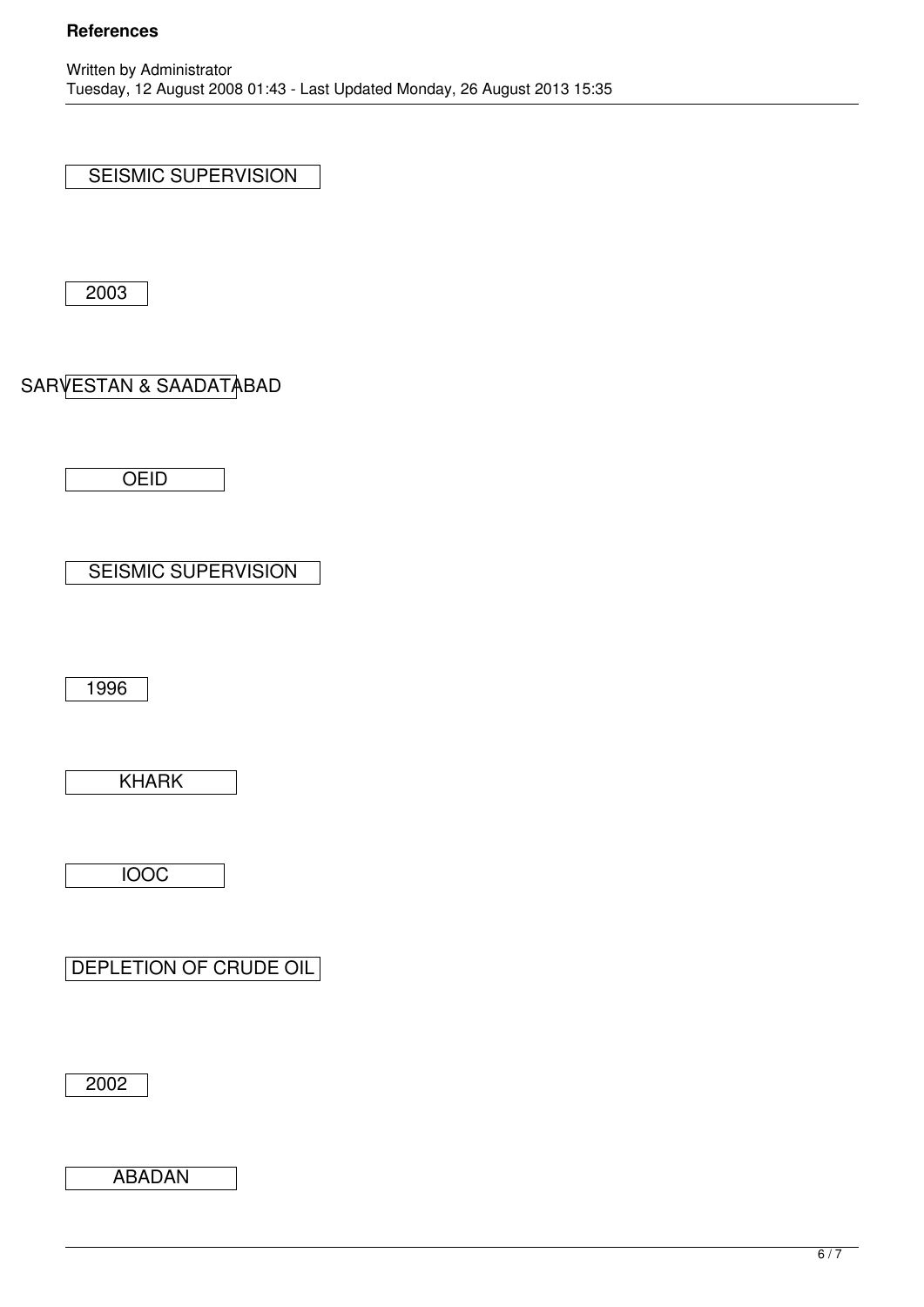SEISMIC SUPERVISION

2003

# SARVESTAN & SAADATABAD

**OEID** 

SEISMIC SUPERVISION

1996

KHARK

IOOC

DEPLETION OF CRUDE OIL

2002

ABADAN